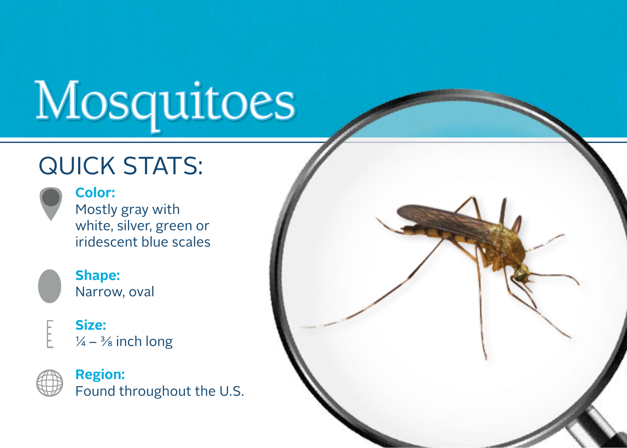# Mosquitoes

### **QUICK STATS:**



**Color:**  Mostly gray with white, silver, green or iridescent blue scales



#### **Shape:** Narrow, oval

**Size:**  $\frac{1}{4} - \frac{3}{8}$  inch long



**Region:**  Found throughout the U.S.